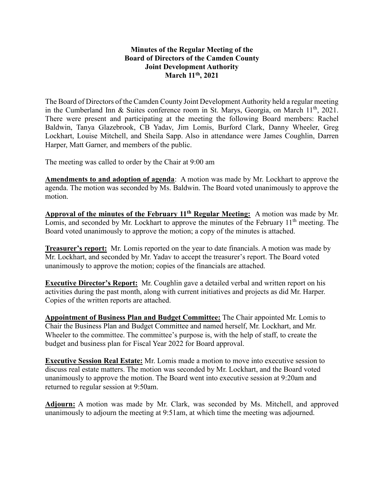## **Minutes of the Regular Meeting of the Board of Directors of the Camden County Joint Development Authority March 11th , 2021**

The Board of Directors of the Camden County Joint Development Authority held a regular meeting in the Cumberland Inn & Suites conference room in St. Marys, Georgia, on March  $11<sup>th</sup>$ , 2021. There were present and participating at the meeting the following Board members: Rachel Baldwin, Tanya Glazebrook, CB Yadav, Jim Lomis, Burford Clark, Danny Wheeler, Greg Lockhart, Louise Mitchell, and Sheila Sapp. Also in attendance were James Coughlin, Darren Harper, Matt Garner, and members of the public.

The meeting was called to order by the Chair at 9:00 am

**Amendments to and adoption of agenda**: A motion was made by Mr. Lockhart to approve the agenda. The motion was seconded by Ms. Baldwin. The Board voted unanimously to approve the motion.

**Approval of the minutes of the February 11th Regular Meeting:** A motion was made by Mr. Lomis, and seconded by Mr. Lockhart to approve the minutes of the February  $11<sup>th</sup>$  meeting. The Board voted unanimously to approve the motion; a copy of the minutes is attached.

**Treasurer's report:** Mr. Lomis reported on the year to date financials. A motion was made by Mr. Lockhart, and seconded by Mr. Yadav to accept the treasurer's report. The Board voted unanimously to approve the motion; copies of the financials are attached.

**Executive Director's Report:** Mr. Coughlin gave a detailed verbal and written report on his activities during the past month, along with current initiatives and projects as did Mr. Harper. Copies of the written reports are attached.

**Appointment of Business Plan and Budget Committee:** The Chair appointed Mr. Lomis to Chair the Business Plan and Budget Committee and named herself, Mr. Lockhart, and Mr. Wheeler to the committee. The committee's purpose is, with the help of staff, to create the budget and business plan for Fiscal Year 2022 for Board approval.

**Executive Session Real Estate:** Mr. Lomis made a motion to move into executive session to discuss real estate matters. The motion was seconded by Mr. Lockhart, and the Board voted unanimously to approve the motion. The Board went into executive session at 9:20am and returned to regular session at 9:50am.

**Adjourn:** A motion was made by Mr. Clark, was seconded by Ms. Mitchell, and approved unanimously to adjourn the meeting at 9:51am, at which time the meeting was adjourned.